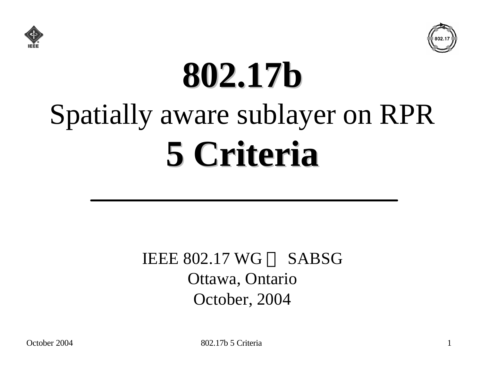



# **802.17b** Spatially aware sublayer on RPR **5 Criteria**

#### IEEE  $802.17$  WG  $-$  SABSG Ottawa, Ontario October, 2004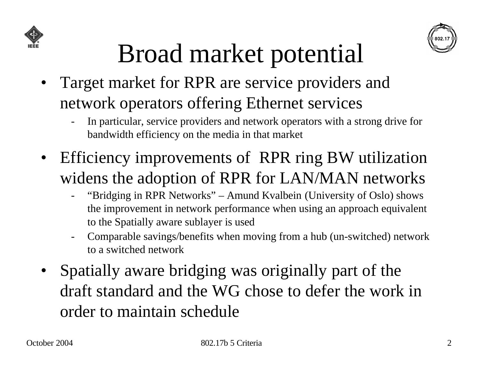



# Broad market potential

- Target market for RPR are service providers and network operators offering Ethernet services
	- In particular, service providers and network operators with a strong drive for bandwidth efficiency on the media in that market
- Efficiency improvements of RPR ring BW utilization widens the adoption of RPR for LAN/MAN networks
	- "Bridging in RPR Networks" Amund Kvalbein (University of Oslo) shows the improvement in network performance when using an approach equivalent to the Spatially aware sublayer is used
	- Comparable savings/benefits when moving from a hub (un-switched) network to a switched network
- Spatially aware bridging was originally part of the draft standard and the WG chose to defer the work in order to maintain schedule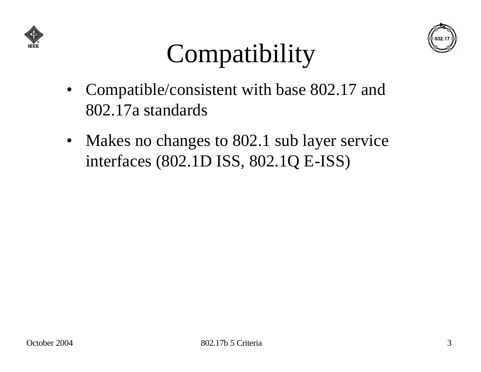



# **Compatibility**

- Compatible/consistent with base 802.17 and 802.17a standards
- Makes no changes to 802.1 sub layer service interfaces (802.1D ISS, 802.1Q E-ISS)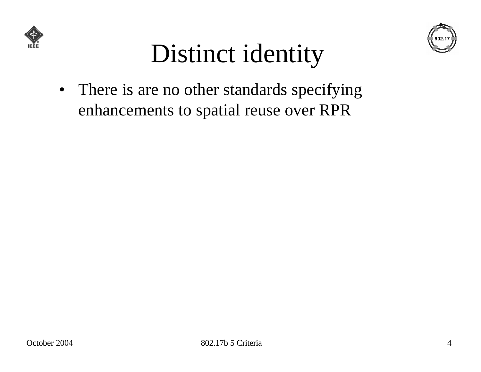



# Distinct identity

• There is are no other standards specifying enhancements to spatial reuse over RPR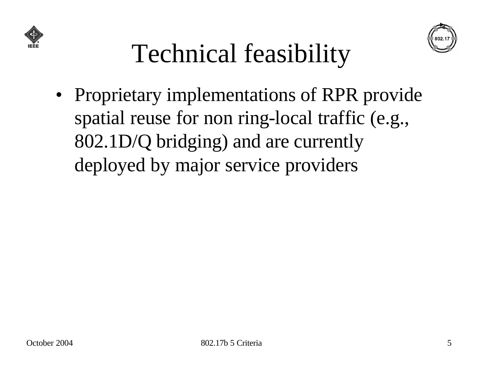



### Technical feasibility

• Proprietary implementations of RPR provide spatial reuse for non ring-local traffic (e.g., 802.1D/Q bridging) and are currently deployed by major service providers